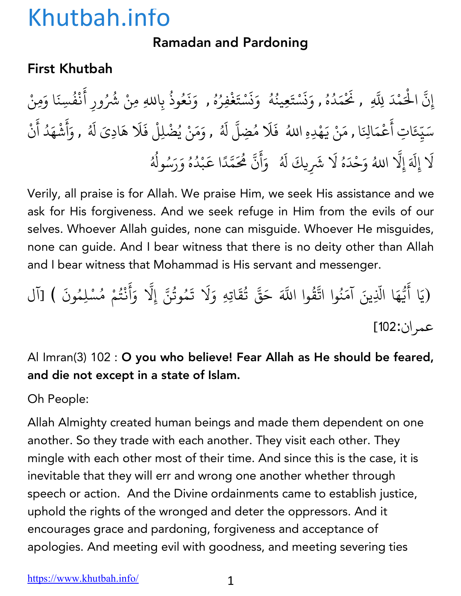### Ramadan and Pardoning

### First Khutbah

إِنَّ الْحَمْدَ لِلَّهِ , نَحْمَدُهُ , وَنَسْتَعِينُهُ ۚ وَنَسْتَغْفِرُهُ , وَنَعُوذُ بِاللهِ مِنْ شُرُ ِّ بِهِ ا ؚ<br>ؚ **∶** ز **∶** <u>ّ</u> ُ ∫<br>ُ **∶** ز **∶** <u>ّ</u> ؚ<br>: ِّ بِ المستقبل المستقبل المستقبل المستقبل المستقبل المستقبل المستقبل المستقبل المستقبل المستقبل المستقبل المستقبل ال<br>والمستقبل المستقبل المستقبل المستقبل المستقبل المستقبل المستقبل المستقبل المستقبل المستقبل المستقبل المستقبل ا **∶ ∶** ∫<br>∫ بِاللهِ مِنْ شُرُورِ أَنْفُسِنَا وَمِنْ ់<br>: ْ ُ سَيِّعَاتِ أَعْمَالِنَا , مَنْ يَهْدِهِ اللهُ ۖ فَلَا مُضِلَّ لَهُ , وَمَنْ يُضْلِلْ فَلَا هَادِيَ لَهُ , وَأَشْهَدُ أَنْ ֺ<u>֓</u> ֧֦֧֝<u>֘</u> **∶** ْ **∶ ∶** ا<br>ُ **∶** ا<br>ا **∶** أ **∶ Andrew Communication ∶ Andrew Communication** لَا إِلَهَ إِلَّا اللهُ وَحْدَهُ لَا شَرِيكَ لَهُ ۚ وَأَنَّ هُٰحَمَّدًا عَبْدُهُ وَرَسُولُهُ **∶** ֧֖֧֦֧֪֚֚֚֝֝֝֬<br>֧֚֝ ∫<br>່ **∶ │** ्<br>। ا<br>المسلمانية<br>المسلمانية **∶** أ َ ֧֧֦֧֦֧֦֧֚֚֝֝֝֝֬<br>֧֚֝<br>֧֚֝ ֧֦֧֝<u>֘</u> َ**Andrew Communication** ُ ُ ُ ∫<br>≀

Verily, all praise is for Allah. We praise Him, we seek His assistance and we ask for His forgiveness. And we seek refuge in Him from the evils of our selves. Whoever Allah guides, none can misguide. Whoever He misguides, none can guide. And I bear witness that there is no deity other than Allah and I bear witness that Mohammad is His servant and messenger.

.<br>(يَا أَيُّهَا الَّذِينَ آمَنُوا اتَّقُّ ैं।<br>। .<br>י **∶** ֧֦֧֡֓֝֟֜*֟* ُ ্র<br>ব وا اللَّهَ حَقَّ تُقَاتِهِ وَلَا تَمُوتُنَّ إِلَّا وَأَنْتُمْ مُسْلِمُونَ ) [آل ُ **∶** المستقبل المستقبل المستقبل المستقبل المستقبل المستقبل المستقبل المستقبل المستقبل المستقبل المستقبل المستقبل ال<br>والمستقبل المستقبل المستقبل المستقبل المستقبل المستقبل المستقبل المستقبل المستقبل المستقبل المستقبل المستقبل ا ֧֖֧֦֚֚֚֝֝֬<br>֧֚֚֝ **∶** ै<br>। ْ المستقبل المستقبل المستقبل المستقبل المستقبل المستقبل المستقبل المستقبل المستقبل المستقبل المستقبل المستقبل ال<br>والمستقبل المستقبل المستقبل المستقبل المستقبل المستقبل المستقبل المستقبل المستقبل المستقبل المستقبل المستقبل ا عمران:102]

### Al Imran(3) 102 : O you who believe! Fear Allah as He should be feared, and die not except in a state of Islam.

Oh People:

Allah Almighty created human beings and made them dependent on one another. So they trade with each another. They visit each other. They mingle with each other most of their time. And since this is the case, it is inevitable that they will err and wrong one another whether through speech or action. And the Divine ordainments came to establish justice, uphold the rights of the wronged and deter the oppressors. And it encourages grace and pardoning, forgiveness and acceptance of apologies. And meeting evil with goodness, and meeting severing ties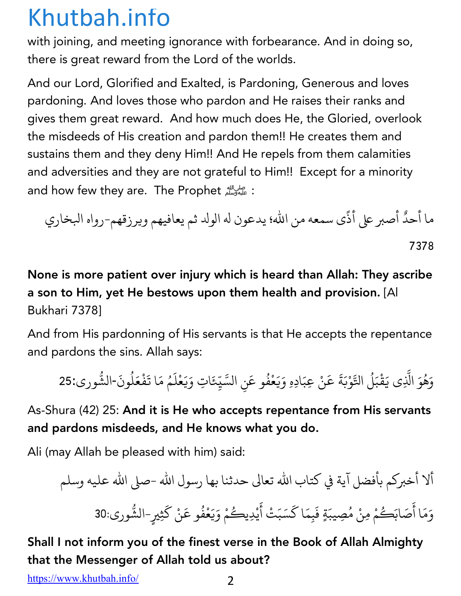with joining, and meeting ignorance with forbearance. And in doing so, there is great reward from the Lord of the worlds.

And our Lord, Glorified and Exalted, is Pardoning, Generous and loves pardoning. And loves those who pardon and He raises their ranks and gives them great reward. And how much does He, the Gloried, overlook the misdeeds of His creation and pardon them!! He creates them and sustains them and they deny Him!! And He repels from them calamities and adversities and they are not grateful to Him!! Except for a minority and how few they are. The Prophet : على الله

ما أحد <sup>ى</sup> سمعهمن االله؛ يدعون <sup>9</sup> الو; ثم يعافيهم ويرزقهم- هاور يراخكا ً أصب <sup>ل</sup> أذ ٌ 7378

### None is more patient over injury which is heard than Allah: They ascribe a son to Him, yet He bestows upon them health and provision. [Al Bukhari 7378]

And from His pardonning of His servants is that He accepts the repentance and pardons the sins. Allah says:

وَهُوَ الَّذِى يَقْبَلُ التَّوْبَةَ عَنْ عِبَادِهِ وَيَعْفُو عَنِ السَّيِّئَاتِ وَيَعْلَمُ مَا تَفْعَلُونَ-الشَّورى:25 ا<br>ا **: │** ْ **:** ْ **∶ ∶ ∶** <u>َّ</u> ُ ֧֧֦֧֚֝֟֓֝֝<br>֧֧֚֚֚֝֝<br>֧֚֚֝ ֧֦֧֝<u>֘</u> **ृ ∶** <u>ّ</u> ै।<br>। ∫<br>≀ **∶** ْ ֝֝֝֝֝֝֝**֝** ُ .<br>.

As-Shura (42) 25: And it is He who accepts repentance from His servants and pardons misdeeds, and He knows what you do.

Ali (may Allah be pleased with him) said:

ألا أخبركم بأفضل آية في كتاب الله تعالى حدثنا بها رسول الله -صلى الله عليه وسلم وَمَا أَصَابَكُمْ مِنْ مُصِيبَةٍ فَبِمَا كَسَبَتْ أَيْدِيكُمْ وَيَعْفُو عَنْ كَثِيرٍ-الشُّورى:30 ै।<br>। ُ **∶** ֢ׅ֚֝֝֝֝֟֟֟֟֟֟֟֟֟֟֟֟֟֟֜֟֟֟֟֟֟֟֟֟֟֟֡֬ ैं।<br>। ∫<br>∫ **∶ ∶** <u>ّ</u> المستقبل المستقبل المستقبل المستقبل المستقبل المستقبل المستقبل المستقبل المستقبل المستقبل المستقبل المستقبل ال<br>والمستقبل المستقبل المستقبل المستقبل المستقبل المستقبل المستقبل المستقبل المستقبل المستقبل المستقبل المستقبل ا ֧֖֖֖֖֦֧֦֧֦֧֦֦֧֦֧֦֧֦֧֦֧֦֧֦֦֧֧֧֦֧֦֧֦֦֦֧֧֧֦֧֧֦֧֧֦֧֚֚֚֝֟֟֓֓֝֓֓֝֬֝֬֝֬֓֓֝֬֓֝֬֓֓֬֓֝֬֝֬֓֬֓֓֬֬֓֝֬֓֝֬֝֬֝֬

### Shall I not inform you of the finest verse in the Book of Allah Almighty that the Messenger of Allah told us about?

https://www.khutbah.info/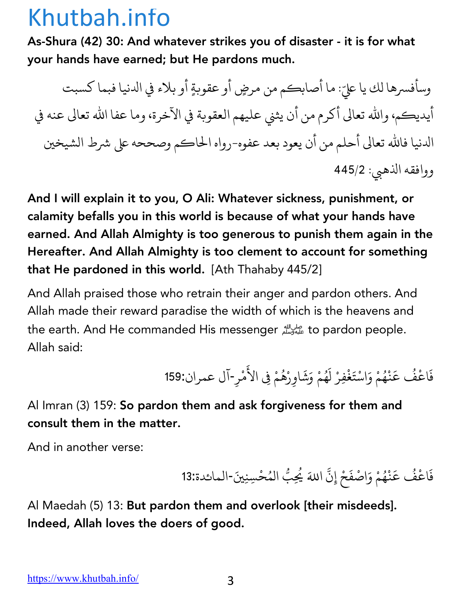As-Shura (42) 30: And whatever strikes you of disaster - it is for what your hands have earned; but He pardons much.

وسأفسرها لك يا عليّ: ما أصابكم من مرضٍ أو عقوبةٍ أو بلاء في الدنيا فبما كسبت أيديكم، والله تعالى أكرم من أن يثني عليهم العقوبة في الآخرة، وما عفا الله تعالى عنه في الدنيا فالله تعالى أحلم من أن يعود بعد عفوه-رواه الحاكم وصححه على شرط الشيخين ووافقه الذهبي: 445/2

And I will explain it to you, O Ali: Whatever sickness, punishment, or calamity befalls you in this world is because of what your hands have earned. And Allah Almighty is too generous to punish them again in the Hereafter. And Allah Almighty is too clement to account for something that He pardoned in this world. [Ath Thahaby 445/2]

And Allah praised those who retrain their anger and pardon others. And Allah made their reward paradise the width of which is the heavens and the earth. And He commanded His messenger على الله على الله the earth. And He commanded His messenger Allah said:

> فَاعْفُ عَنْهُمْ وَاسْتَغْفِرْ لَهُمْ وَشَاوِرْهُمْ فِي الأَمْرِ-آل عمران:159 ُ ֦֖֚֚֚֝֝֝֝֝֝ ֦֧֧֘֟֟֓<u>֚</u> ِّ ِ **Andrew Communication** ै।<br>। َ ِّ ِ ؚ<br>ؚ ैं।<br>। **Andrew Communication**

Al Imran (3) 159: So pardon them and ask forgiveness for them and consult them in the matter.

And in another verse:

فَاعْفُ عَنْهُمْ وَاصْفَحْ إِنَّ اللهَ يُحِبُّ المُحْسِنِينَ-المائدة:13 ُ َ ْ ِّ بِ **.** ∫<br>∕ ∫<br>≀

Al Maedah (5) 13: But pardon them and overlook [their misdeeds]. Indeed, Allah loves the doers of good.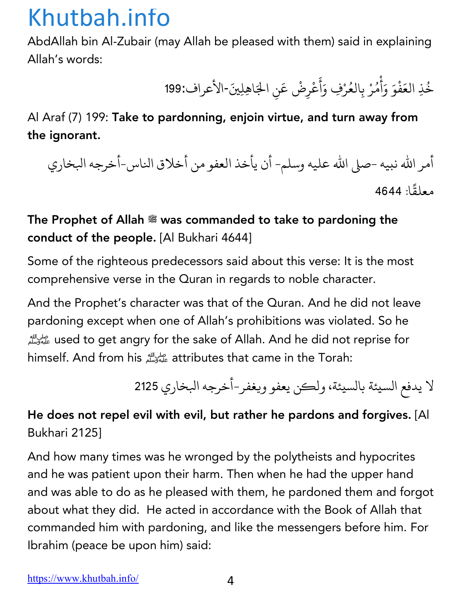AbdAllah bin Al-Zubair (may Allah be pleased with them) said in explaining Allah's words:

> خُذِ العَفْوَ وَأْمُرْ بِالعُرْفِ وَأَعْرِضْ عَنِ الجَاهِلِينَ-الأعراف:199 ∫<br>≀ َْ **∶** أ ْ المسلم<br>المسلمان<br>المسلمان ∫<br>່ ै।<br>। أ ैं।<br>। ؚ<br>ا

### Al Araf (7) 199: Take to pardonning, enjoin virtue, and turn away from the ignorant.

أمر الله نبيه -صلى الله عليه وسلم- أن يأخذ العفو من أخلاق الناس-أخرجه البخاري معلق ا: 4644  $\ddot{\phantom{a}}$ 

### The Prophet of Allah  $\ddot{\mathcal{Z}}$  was commanded to take to pardoning the conduct of the people. [Al Bukhari 4644]

Some of the righteous predecessors said about this verse: It is the most comprehensive verse in the Quran in regards to noble character.

And the Prophet's character was that of the Quran. And he did not leave pardoning except when one of Allah's prohibitions was violated. So he !used to get angry for the sake of Allah. And he did not reprise for himself. And from his !attributes that came in the Torah:

لا يدفع السيئة بالسيئة، ولكن يعفو ويغفر-أخرجه البخاري 2125

### He does not repel evil with evil, but rather he pardons and forgives. [Al Bukhari 2125]

And how many times was he wronged by the polytheists and hypocrites and he was patient upon their harm. Then when he had the upper hand and was able to do as he pleased with them, he pardoned them and forgot about what they did. He acted in accordance with the Book of Allah that commanded him with pardoning, and like the messengers before him. For Ibrahim (peace be upon him) said: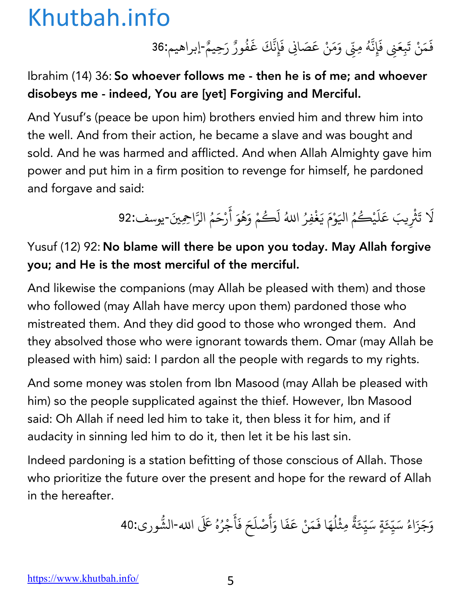فَمَنْ تَبِعَنِي فَإِنَّهُ مِنِّي وَمَنْ عَصَانِي فَإِنَّكَ غَفُورٌ رَحِيمٌ-إبراهيم:36 ्<br>। **∶** ्<br>। **:** ∫<br>≀ ֧֦֧֝<u>֘</u> **∶ ∶** ُ ٌ

Ibrahim (14) 36: So whoever follows me - then he is of me; and whoever disobeys me - indeed, You are [yet] Forgiving and Merciful.

And Yusuf's (peace be upon him) brothers envied him and threw him into the well. And from their action, he became a slave and was bought and sold. And he was harmed and afflicted. And when Allah Almighty gave him power and put him in a firm position to revenge for himself, he pardoned and forgave and said:

> لَا تَثْرِيبَ عَلَيْكُمُ اليَوْمَ يَغْفِرُ اللهُ لَكُمْ وَهُوَ أَرْحَمُ الرَّاحِمِينَ-يوسف:92 **Andrew Communication** َ **ृ** ْ **ृ** ∫<br>∫ ؚ<br>ۣ ैं।<br>। ؚ<br>ۣ

### Yusuf (12) 92: No blame will there be upon you today. May Allah forgive you; and He is the most merciful of the merciful.

And likewise the companions (may Allah be pleased with them) and those who followed (may Allah have mercy upon them) pardoned those who mistreated them. And they did good to those who wronged them. And they absolved those who were ignorant towards them. Omar (may Allah be pleased with him) said: I pardon all the people with regards to my rights.

And some money was stolen from Ibn Masood (may Allah be pleased with him) so the people supplicated against the thief. However, Ibn Masood said: Oh Allah if need led him to take it, then bless it for him, and if audacity in sinning led him to do it, then let it be his last sin.

Indeed pardoning is a station befitting of those conscious of Allah. Those who prioritize the future over the present and hope for the reward of Allah in the hereafter.

> وَجَزَاءُ سَيِّئَةٍ سَيِّئَةً مِثْلُهَا فَمَنْ عَفَا وَأَصْلَحَ فَأَجْرُهُ عَلَى الله-الشُّورى:40 ֺ<u>֓</u> ֧֦֧֝<u>֘</u>  $\overline{\phantom{a}}$ ֧<u>֘</u> ै।<br>। ٌ **Andrew Communication** ِّ بِ **∶** ֧֧֦֧֦֧֦֧֚֝֝֝֝ ै।<br>। أ ैं।<br>। ै।<br>। ्<br>।  $\ddot{\phantom{a}}$ ؚ<br>ۣ ∫<br>∫ .<br>.<br>.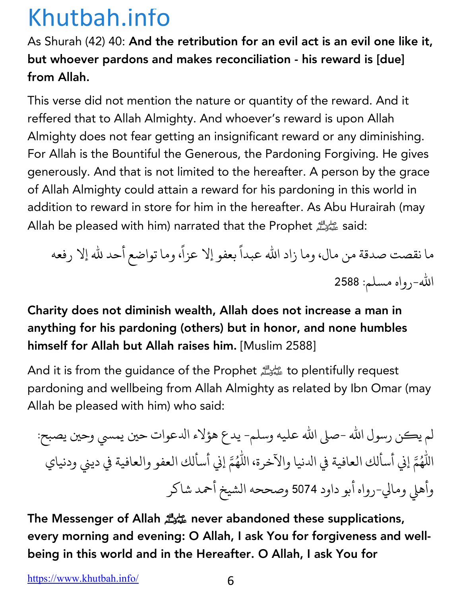As Shurah (42) 40: And the retribution for an evil act is an evil one like it, but whoever pardons and makes reconciliation - his reward is [due] from Allah.

This verse did not mention the nature or quantity of the reward. And it reffered that to Allah Almighty. And whoever's reward is upon Allah Almighty does not fear getting an insignificant reward or any diminishing. For Allah is the Bountiful the Generous, the Pardoning Forgiving. He gives generously. And that is not limited to the hereafter. A person by the grace of Allah Almighty could attain a reward for his pardoning in this world in addition to reward in store for him in the hereafter. As Abu Hurairah (may Allah be pleased with him) narrated that the Prophet عليه وسلم الله Allah be pleased with him) narrated that the

ما نقصت صدقة من مال، وما زاد الله عبدا بعفو إلا عزا، وما تواضع أحد لله إلا رفعه **ا**<br>ا ֧֦֧֝<u>֓</u> الله-رواه مسلم: 2588

### Charity does not diminish wealth, Allah does not increase a man in anything for his pardoning (others) but in honor, and none humbles himself for Allah but Allah raises him. [Muslim 2588]

And it is from the guidance of the Prophet المسلسلة الله على الله And it is from the guidance of the Prophet pardoning and wellbeing from Allah Almighty as related by Ibn Omar (may Allah be pleased with him) who said:

لم يكن رسول الله -صلى الله عليه وسلم- يدع هؤلاء الدعوات حين يمسي وحين يصبح: اللَّهُمَّ إني أسألك العافية في الدنيا والآخرة، اللَّهُمَّ إني أسألك العفو والعافية في ديني ودنياي وأهلي ومالي-رواه أبو داود 5074 وصححه الشيخ أحمد شاكر

The Messenger of Allah !never abandoned these supplications, every morning and evening: O Allah, I ask You for forgiveness and wellbeing in this world and in the Hereafter. O Allah, I ask You for

https://www.khutbah.info/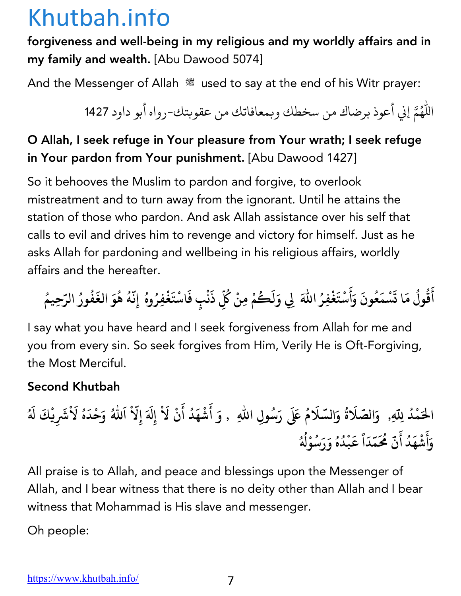forgiveness and well-being in my religious and my worldly affairs and in my family and wealth. [Abu Dawood 5074]

And the Messenger of Allah  $\mathcal{L}$  used to say at the end of his Witr prayer:

اللَّهُمَّ إني أعوذ برضاك من سخطك وبمعافاتك من عقوبتك-رواه أبو داود 1427

### O Allah, I seek refuge in Your pleasure from Your wrath; I seek refuge in Your pardon from Your punishment. [Abu Dawood 1427]

So it behooves the Muslim to pardon and forgive, to overlook mistreatment and to turn away from the ignorant. Until he attains the station of those who pardon. And ask Allah assistance over his self that calls to evil and drives him to revenge and victory for himself. Just as he asks Allah for pardoning and wellbeing in his religious affairs, worldly affairs and the hereafter.

أَقُولُ مَا تَسْمَعُونَ وَأَسْتَغْفِرُ اللّٰهَ لِي وَلَكُمْ مِنْ كُلِّ ذَنْبٍ فَاسْتَغْفِرُوهُ إِنَّهُ هُوَ الغَفُورُ الرّحِيمُ **َ ُ ُ َ َ ُ َ َ ْ َ َُ ُ ِ َ ْ َ ُ َّ ُ ُ َ ُ ُ ُ**

I say what you have heard and I seek forgiveness from Allah for me and you from every sin. So seek forgives from Him, Verily He is Oft-Forgiving, the Most Merciful.

#### Second Khutbah

**مَ ال ْ د ُ ِب لا َّ الص َ ,ِ <sup>و</sup> َّ َ ة ُ و لا َّ الس َ َ م <sup>ر</sup> ََل ُ س َ ُ ِ , و <sup>أ</sup> َ وِل االله َ ش ْ ه َ د أ ُ َ ن لا ْ ِW إ َ ْ َ َ ِلا إ ا َّ ْ الله َ ُ و ح َ د ْ َ ه لا ُ ش َ ْ َ يِ ك ْ َ W َ ُ و َ أ َ ش ْ ه َ د ُ أ َ ن م َّ َُ م َّ د َ ا ً ق َ ب ْ د ُ ه ُ و ر َ س َ ُ و ْ W ُ ُ**

All praise is to Allah, and peace and blessings upon the Messenger of Allah, and I bear witness that there is no deity other than Allah and I bear witness that Mohammad is His slave and messenger.

Oh people: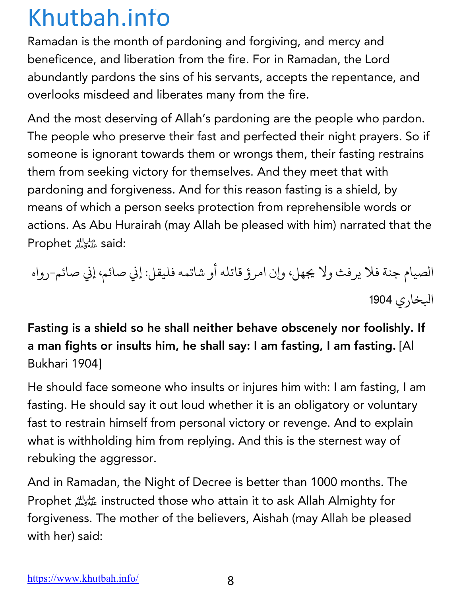Ramadan is the month of pardoning and forgiving, and mercy and beneficence, and liberation from the fire. For in Ramadan, the Lord abundantly pardons the sins of his servants, accepts the repentance, and overlooks misdeed and liberates many from the fire.

And the most deserving of Allah's pardoning are the people who pardon. The people who preserve their fast and perfected their night prayers. So if someone is ignorant towards them or wrongs them, their fasting restrains them from seeking victory for themselves. And they meet that with pardoning and forgiveness. And for this reason fasting is a shield, by means of which a person seeks protection from reprehensible words or actions. As Abu Hurairah (may Allah be pleased with him) narrated that the Prophet على الله Prophet

الصيام جنة فلا يرفث ولا يجهل، وإن امرؤ قاتله أو شاتمه فليقل: إني صائمي إني صائم-رواه البخاري 1904

Fasting is a shield so he shall neither behave obscenely nor foolishly. If a man fights or insults him, he shall say: I am fasting, I am fasting. [Al Bukhari 1904]

He should face someone who insults or injures him with: I am fasting, I am fasting. He should say it out loud whether it is an obligatory or voluntary fast to restrain himself from personal victory or revenge. And to explain what is withholding him from replying. And this is the sternest way of rebuking the aggressor.

And in Ramadan, the Night of Decree is better than 1000 months. The Prophet !instructed those who attain it to ask Allah Almighty for forgiveness. The mother of the believers, Aishah (may Allah be pleased with her) said: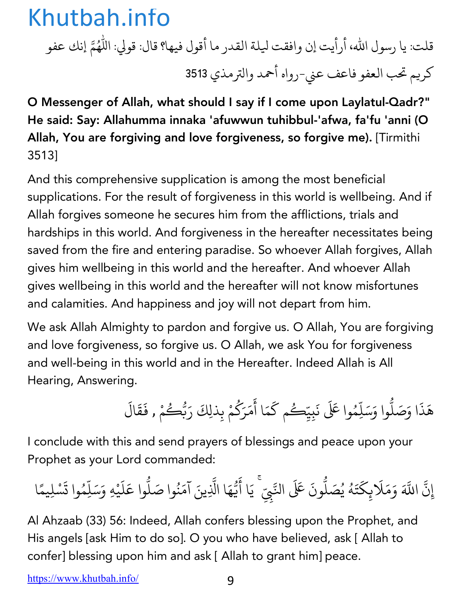قلت: يا رسول الله، أرأيت إن وافقت ليلة القدر ما أقول فيها؟ قال: قولي: اللَّهُمَّ إنك عفو كريم تحب العفو فاعف عني-رواه أحمد والترمذي 3513

O Messenger of Allah, what should I say if I come upon Laylatul-Qadr?" He said: Say: Allahumma innaka 'afuwwun tuhibbul-'afwa, fa'fu 'anni (O Allah, You are forgiving and love forgiveness, so forgive me). [Tirmithi 3513]

And this comprehensive supplication is among the most beneficial supplications. For the result of forgiveness in this world is wellbeing. And if Allah forgives someone he secures him from the afflictions, trials and hardships in this world. And forgiveness in the hereafter necessitates being saved from the fire and entering paradise. So whoever Allah forgives, Allah gives him wellbeing in this world and the hereafter. And whoever Allah gives wellbeing in this world and the hereafter will not know misfortunes and calamities. And happiness and joy will not depart from him.

We ask Allah Almighty to pardon and forgive us. O Allah, You are forgiving and love forgiveness, so forgive us. O Allah, we ask You for forgiveness and well-being in this world and in the Hereafter. Indeed Allah is All Hearing, Answering.

> هَذَا وَصَلُّوا وَسَلِّهُ <u>:</u> ֧֦֧֝<u>֘</u> وا عَلَى نَبِيِّكُم كَمَا أَمَرَكُمْ بِذلِكَ رَبُّكُ **∶** َ ैं।<br>। ∫<br>∫ **∶** ر<br>گ ِ<br>مْ , فَقَالَ **∶ ∶**

I conclude with this and send prayers of blessings and peace upon your Prophet as your Lord commanded:

إِن ֧֡֡֟֓<u>֡</u> ्<br>द اللَّهَ وَمَلَابِكَتَهُ يُصَلُّونَ عَلَى النَّبِيِّ ۚ يَا أَيُّهَا الَّذِينَ آمَنُوا صَلُّوا عَلَيْهِ وَسَلِّمُوا تَسْلِيمًا **∶** ֺ֧֦֧֦֧֝֝<u>֚</u> **∶** ُ ِّ بِيَّةٍ بِيَّةٍ بِيَّةٍ بِيَانِيَةٍ بِيَانِيَةٍ بِيَانِيَةٍ بِيَانِيَةٍ بِيَانِيَةٍ بِيَانِيَةٍ بِيَانِيَةٍ **.**<br>. ֧֡֡֟֓֓<u>֓</u> **∶** <u>:</u> ֧֡֡֟֟֓֟֟֟֟֟֟֟֟֟֟֟֟֟֡֟֟֟֡֬֟֟֟֟<u>֟</u> **∶** ∫<br>∫ **.**<br>. َ**∶ ا**<br>ا **∶ ا**<br>ا

Al Ahzaab (33) 56: Indeed, Allah confers blessing upon the Prophet, and His angels [ask Him to do so]. O you who have believed, ask [ Allah to confer] blessing upon him and ask [ Allah to grant him] peace.

https://www.khutbah.info/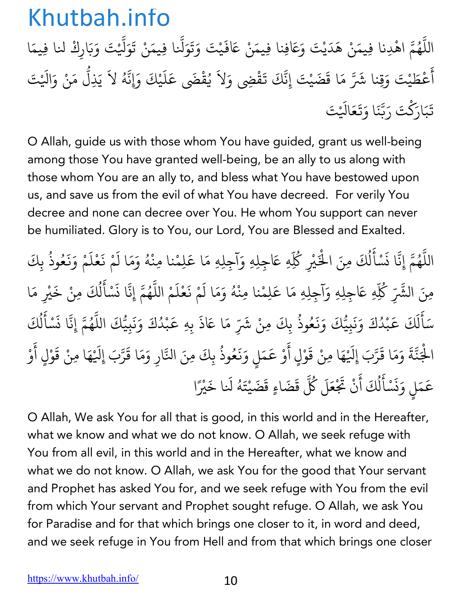اللَّهُمَّ اهْدِنا فِيمَنْ هَدَيْتَ وَعَافِنا فِيمَنْ عَافَيْتَ وَتَوَلَّنا فِيمَنْ تَوَلَّيْتَ وَبَارِكْ لنا فِيمَا ֧֦֧֦֧֦֧֦֧֚֝֝֝֝֬<br>֧֚֝<br>֧֚֝ المستقبل المستقبل المستقبل المستقبل المستقبل المستقبل المستقبل المستقبل المستقبل المستقبل المستقبل المستقبل ال<br>والمستقبل المستقبل المستقبل المستقبل المستقبل المستقبل المستقبل المستقبل المستقبل المستقبل المستقبل المستقبل ا ة<br>. **∶ ∶ ∶ ∶** َ ֧֧֦֧֦֧֦֧֚֚֝֝֝֝֬<br>֧֚֚֝<br>֧֚֝ **∶** ؚ<br>ؚ<br>ؚ أ َ ء<br>عُطَيْتَ وَقِنا شَرَّ مَا قَضَيْتَ إِنَّكَ تَقْضِي وَلاَ يُقْضَى عَلَيْكَ وَإِنَّهُ لاَ يَذِلُّ مَنْ وَالَيْتَ **∶ ∶ ∶** ِّ بِهِ ا ֢ׅ֢ׅ֦֧ׅ֧֦֧ׅ֧֦֧ׅ֧֦֧֚֝֝֟֟֟֟֟֟֟֟֟֟֟֓֡֟֜֟֜֜֓֜֓֟֓֜֓ **∶** ֧֡֝֟֓֝֟֟֟֜*֟* **∶** ֧֖֧֦֧֚֝֝<u>֘</u> تَبَارَكْتَ رَبَّنَا وَتَعَالَيْتَ **∶ َ** ्<br>। **ّ ∶ ∶** 

O Allah, guide us with those whom You have guided, grant us well-being among those You have granted well-being, be an ally to us along with those whom You are an ally to, and bless what You have bestowed upon us, and save us from the evil of what You have decreed. For verily You decree and none can decree over You. He whom You support can never be humiliated. Glory is to You, our Lord, You are Blessed and Exalted.

اللَّهُمَّ إِنَّا نَسْأَلُكَ مِنَ الْخَيْرِ كُلِّهِ عَاجِلِهِ وَآجِلِهِ مَا عَلِمْنا مِنْهُ وَمَا لَمْ نَعْلَمْ وَنَعُوذُ بِكَ ֧֖֧֦֧֦֧֦֧֚֚֝֝֝֬<br>֧֚֝<br>֧֝ ُ **∶** .<br>ا **∶** ل ُ ؚ<br>ۣ ْ∫<br>່ **∶ ∶** ١, **∶ ∶ ∶** المستقبل المستقبل المستقبل المستقبل المستقبل المستقبل المستقبل المستقبل المستقبل المستقبل المستقبل المستقبل ال<br>والمستقبل المستقبل المستقبل المستقبل المستقبل المستقبل المستقبل المستقبل المستقبل المستقبل المستقبل المستقبل ا ؚ<br>ؚ مِنَ الشَّرِّ كُلِّهِ عَاجِلِهِ وَآجِلِهِ مَا عَلِمْنا مِنْهُ وَمَا لَمْ نَعْلَمْ اللَّهُمَّ إِنَّا نَسْأَلُكَ مِنْ خَيْرِ مَا ∫<br>່ **∶ ∶** ١, ्<br>। .<br>י ُ **∶** ؚ<br>ا ់<br>: ل ُ ्<br>। سَأَلَكَ عَبْدُكَ وَنَبِيُّكَ وَنَعُوذُ بِكَ ֺ<u>֓</u> **ृ** ل **∶** ֢֚֝֝֟֟֟֟֟֟֟֟֜ **Andrew Communication** ्<br>। **∶ ∶ ∶** ُ ، مِنْ شَرِّ مَا عَاذَ بِهِ عَبْدُكَ وَنَبِيُّكَ اللَّهُمَّ إِنَّا نَسْأَلُكَ **∶** ֢֝֝֝֝֝֟֟֟֟֟֟֟֟֟֜ **Andrew Communication ∶ ∶** <u>:</u> ُ **∶** <u>َ</u> .<br>ن ل ُ ؚ<br>ؚ الْجَنَّةَ وَمَا قَرَّبَ إِلَيْهَا مِنْ قَوْلٍ أَوْ عَمَلٍ وَنَعُوذُ بِكَ مِنَ النَّارِ وَمَا قَرَّبَ إِلَيْهَا مِنْ قَوْلٍ أَوْ ْ **∶** ֧֖֧֦֧֚֚֝֝֝֬<br>֧֚֝ ؚ<br>: **، ∶** ْ **∶ ∶** ֺ<u>֓</u> **∶ ∶** ُ ֧֖֧֦֚֚֚֚֝֝֝֬֝<br>֧֚֚֝<br>֧֚֝ **∶** ֧֧֧֝֟֓֕֝֟֓֕֬֝֬֝֟֓֓֬֝֬֝֬֝֬֝֬֝֬֝֬֝֬֝֟֓֬֝֬֝֓֬֝֬֓֝֬ **∶** ْ **∶** َ ْ عَمَلٍ وَنَسْأَلُكَ أَنْ تَجْ ؚ<br>֧֡֡֟֟֓֟֓֟֓֟֓֟֓֟֓֝֬֝֟֓֝֬֝֟֟֓<u>֘</u> **∶** ز **∶** <u>َّ</u> ֧֦֦֧֚֝֝<u>֓</u> ل ِّ بِهِ ا **∶** مَلَ كُلَّ قَضَاءٍ قَضَيْتَهُ لَنا خَيْرً **∶ Andrew Communication ∶** ا

O Allah, We ask You for all that is good, in this world and in the Hereafter, what we know and what we do not know. O Allah, we seek refuge with You from all evil, in this world and in the Hereafter, what we know and what we do not know. O Allah, we ask You for the good that Your servant and Prophet has asked You for, and we seek refuge with You from the evil from which Your servant and Prophet sought refuge. O Allah, we ask You for Paradise and for that which brings one closer to it, in word and deed, and we seek refuge in You from Hell and from that which brings one closer